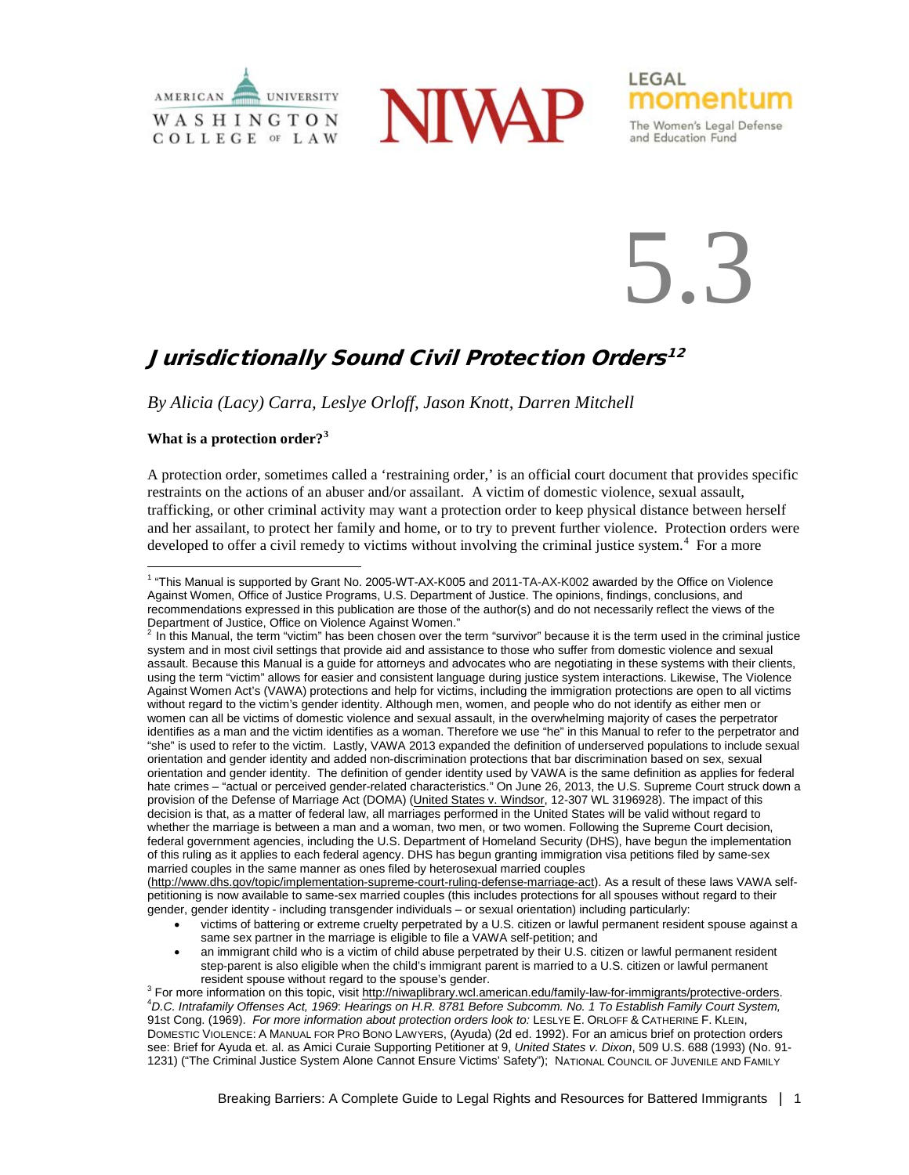



LEGAL momentum

The Women's Legal Defense and Education Fund

5.3

# Jurisdictionally Sound Civil Protection Orders<sup>[1](#page-0-0)[2](#page-0-1)</sup>

*By Alicia (Lacy) Carra, Leslye Orloff, Jason Knott, Darren Mitchell*

## **What is a protection order?[3](#page-0-2)**

A protection order, sometimes called a 'restraining order,' is an official court document that provides specific restraints on the actions of an abuser and/or assailant. A victim of domestic violence, sexual assault, trafficking, or other criminal activity may want a protection order to keep physical distance between herself and her assailant, to protect her family and home, or to try to prevent further violence. Protection orders were developed to offer a civil remedy to victims without involving the criminal justice system.<sup>[4](#page-0-3)</sup> For a more

[\(http://www.dhs.gov/topic/implementation-supreme-court-ruling-defense-marriage-act\)](http://www.dhs.gov/topic/implementation-supreme-court-ruling-defense-marriage-act). As a result of these laws VAWA selfpetitioning is now available to same-sex married couples (this includes protections for all spouses without regard to their gender, gender identity - including transgender individuals – or sexual orientation) including particularly:

- victims of battering or extreme cruelty perpetrated by a U.S. citizen or lawful permanent resident spouse against a same sex partner in the marriage is eligible to file a VAWA self-petition; and
- an immigrant child who is a victim of child abuse perpetrated by their U.S. citizen or lawful permanent resident step-parent is also eligible when the child's immigrant parent is married to a U.S. citizen or lawful permanent resident spouse without regard to the spouse's gender.

<span id="page-0-0"></span><sup>&</sup>lt;sup>1</sup> "This Manual is supported by Grant No. 2005-WT-AX-K005 and 2011-TA-AX-K002 awarded by the Office on Violence Against Women, Office of Justice Programs, U.S. Department of Justice. The opinions, findings, conclusions, and recommendations expressed in this publication are those of the author(s) and do not necessarily reflect the views of the Department of Justice, Office on Violence Against Women."

<span id="page-0-1"></span><sup>2</sup> In this Manual, the term "victim" has been chosen over the term "survivor" because it is the term used in the criminal justice system and in most civil settings that provide aid and assistance to those who suffer from domestic violence and sexual assault. Because this Manual is a guide for attorneys and advocates who are negotiating in these systems with their clients, using the term "victim" allows for easier and consistent language during justice system interactions. Likewise, The Violence Against Women Act's (VAWA) protections and help for victims, including the immigration protections are open to all victims without regard to the victim's gender identity. Although men, women, and people who do not identify as either men or women can all be victims of domestic violence and sexual assault, in the overwhelming majority of cases the perpetrator identifies as a man and the victim identifies as a woman. Therefore we use "he" in this Manual to refer to the perpetrator and "she" is used to refer to the victim. Lastly, VAWA 2013 expanded the definition of underserved populations to include sexual orientation and gender identity and added non-discrimination protections that bar discrimination based on sex, sexual orientation and gender identity. The definition of gender identity used by VAWA is the same definition as applies for federal hate crimes – "actual or perceived gender-related characteristics." On June 26, 2013, the U.S. Supreme Court struck down a provision of the Defense of Marriage Act (DOMA) (United States v. Windsor, 12-307 WL 3196928). The impact of this decision is that, as a matter of federal law, all marriages performed in the United States will be valid without regard to whether the marriage is between a man and a woman, two men, or two women. Following the Supreme Court decision, federal government agencies, including the U.S. Department of Homeland Security (DHS), have begun the implementation of this ruling as it applies to each federal agency. DHS has begun granting immigration visa petitions filed by same-sex married couples in the same manner as ones filed by heterosexual married couples

<span id="page-0-3"></span><span id="page-0-2"></span><sup>&</sup>lt;sup>3</sup> For more information on this topic, visit [http://niwaplibrary.wcl.american.edu/family-law-for-immigrants/protective-orders.](http://niwaplibrary.wcl.american.edu/family-law-for-immigrants/protective-orders) *D.C. Intrafamily Offenses Act, 1969*: *Hearings on H.R. 8781 Before Subcomm. No. 1 To Establish Family Court System,*  91st Cong. (1969). *For more information about protection orders look to:* LESLYE E. ORLOFF & CATHERINE F. KLEIN, DOMESTIC VIOLENCE: A MANUAL FOR PRO BONO LAWYERS, (Ayuda) (2d ed. 1992). For an amicus brief on protection orders see: Brief for Ayuda et. al. as Amici Curaie Supporting Petitioner at 9, *United States v. Dixon*, 509 U.S. 688 (1993) (No. 91- 1231) ("The Criminal Justice System Alone Cannot Ensure Victims' Safety"); NATIONAL COUNCIL OF JUVENILE AND FAMILY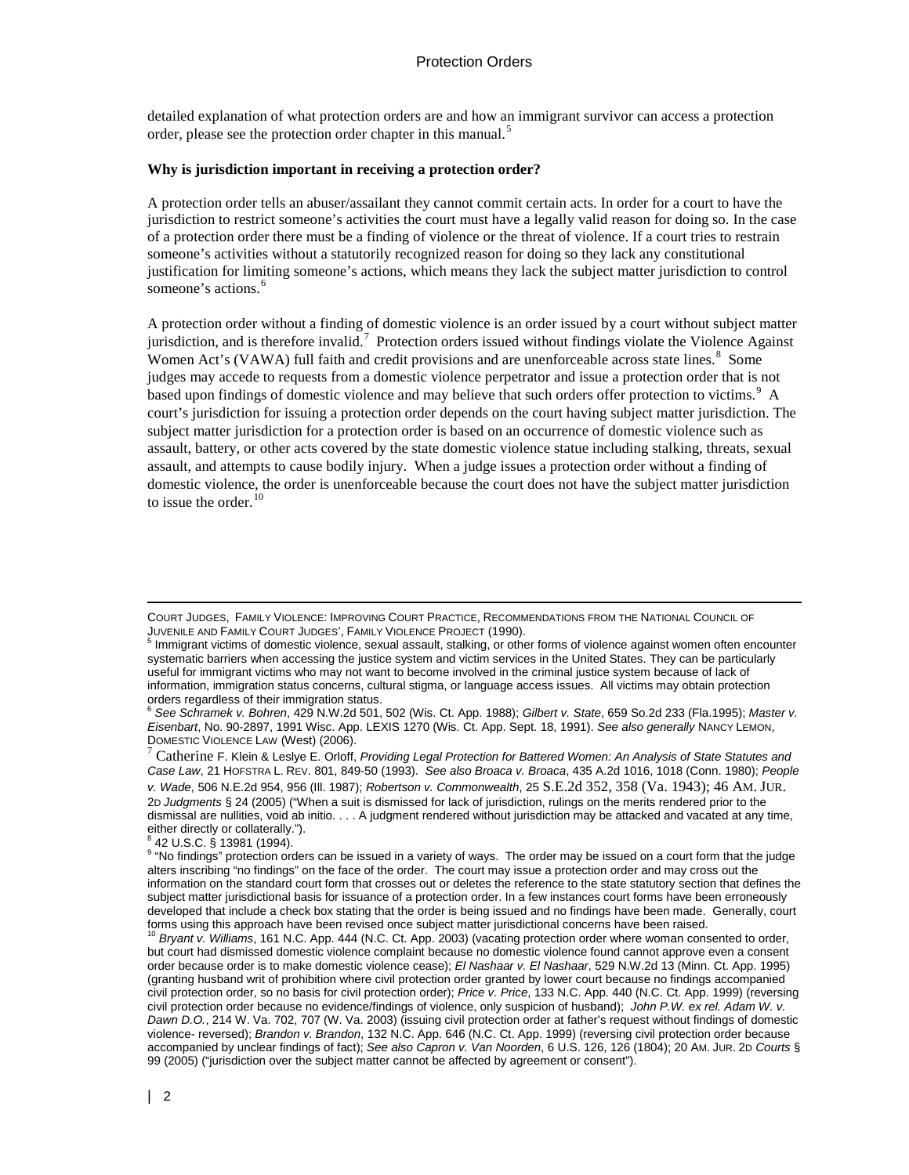detailed explanation of what protection orders are and how an immigrant survivor can access a protection order, please see the protection order chapter in this manual.<sup>[5](#page-1-0)</sup>

#### **Why is jurisdiction important in receiving a protection order?**

A protection order tells an abuser/assailant they cannot commit certain acts. In order for a court to have the jurisdiction to restrict someone's activities the court must have a legally valid reason for doing so. In the case of a protection order there must be a finding of violence or the threat of violence. If a court tries to restrain someone's activities without a statutorily recognized reason for doing so they lack any constitutional justification for limiting someone's actions, which means they lack the subject matter jurisdiction to control someone's actions.<sup>[6](#page-1-1)</sup>

A protection order without a finding of domestic violence is an order issued by a court without subject matter jurisdiction, and is therefore invalid.<sup>[7](#page-1-2)</sup> Protection orders issued without findings violate the Violence Against Women Act's (VAWA) full faith and credit provisions and are unenforceable across state lines.<sup>[8](#page-1-3)</sup> Some judges may accede to requests from a domestic violence perpetrator and issue a protection order that is not based upon findings of domestic violence and may believe that such orders offer protection to victims.<sup>[9](#page-1-4)</sup> A court's jurisdiction for issuing a protection order depends on the court having subject matter jurisdiction. The subject matter jurisdiction for a protection order is based on an occurrence of domestic violence such as assault, battery, or other acts covered by the state domestic violence statue including stalking, threats, sexual assault, and attempts to cause bodily injury. When a judge issues a protection order without a finding of domestic violence, the order is unenforceable because the court does not have the subject matter jurisdiction to issue the order.<sup>[10](#page-1-5)</sup>

<sup>8</sup> 42 U.S.C. § 13981 (1994).

 $\overline{a}$ 

COURT JUDGES, FAMILY VIOLENCE: IMPROVING COURT PRACTICE, RECOMMENDATIONS FROM THE NATIONAL COUNCIL OF JUVENILE AND FAMILY COURT JUDGES'. FAMILY VIOLENCE PROJECT (1990).

<span id="page-1-0"></span> $<sup>5</sup>$  Immigrant victims of domestic violence, sexual assault, stalking, or other forms of violence against women often encounter</sup> systematic barriers when accessing the justice system and victim services in the United States. They can be particularly useful for immigrant victims who may not want to become involved in the criminal justice system because of lack of information, immigration status concerns, cultural stigma, or language access issues. All victims may obtain protection orders regardless of their immigration status.

<span id="page-1-1"></span><sup>6</sup> *See Schramek v. Bohren*, 429 N.W.2d 501, 502 (Wis. Ct. App. 1988); *Gilbert v. State*, 659 So.2d 233 (Fla.1995); *Master v. Eisenbart*, No. 90-2897, 1991 Wisc. App. LEXIS 1270 (Wis. Ct. App. Sept. 18, 1991). *See also generally* NANCY LEMON,

<span id="page-1-2"></span><sup>&</sup>lt;sup>7</sup> Catherine F. Klein & Leslye E. Orloff, *Providing Legal Protection for Battered Women: An Analysis of State Statutes and Case Law*, 21 HOFSTRA L. REV. 801, 849-50 (1993). *See also Broaca v. Broaca*, 435 A.2d 1016, 1018 (Conn. 1980); *People v. Wade*, 506 N.E.2d 954, 956 (Ill. 1987); *Robertson v. Commonwealth*, 25 S.E.2d 352, 358 (Va. 1943); 46 AM. JUR. 2D *Judgments* § 24 (2005) ("When a suit is dismissed for lack of jurisdiction, rulings on the merits rendered prior to the dismissal are nullities, void ab initio. . . . A judgment rendered without jurisdiction may be attacked and vacated at any time, either directly or collaterally.").

<span id="page-1-4"></span><span id="page-1-3"></span><sup>&</sup>lt;sup>9</sup> "No findings" protection orders can be issued in a variety of ways. The order may be issued on a court form that the judge alters inscribing "no findings" on the face of the order. The court may issue a protection order and may cross out the information on the standard court form that crosses out or deletes the reference to the state statutory section that defines the subject matter jurisdictional basis for issuance of a protection order. In a few instances court forms have been erroneously developed that include a check box stating that the order is being issued and no findings have been made. Generally, court<br>forms using this approach have been revised once subject matter jurisdictional concerns have been r

<span id="page-1-5"></span><sup>&</sup>lt;sup>10</sup> Bryant v. Williams, 161 N.C. App. 444 (N.C. Ct. App. 2003) (vacating protection order where woman consented to order, but court had dismissed domestic violence complaint because no domestic violence found cannot approve even a consent order because order is to make domestic violence cease); *El Nashaar v. El Nashaar*, 529 N.W.2d 13 (Minn. Ct. App. 1995) (granting husband writ of prohibition where civil protection order granted by lower court because no findings accompanied civil protection order, so no basis for civil protection order); *Price v. Price*, 133 N.C. App. 440 (N.C. Ct. App. 1999) (reversing civil protection order because no evidence/findings of violence, only suspicion of husband); *John P.W. ex rel. Adam W. v. Dawn D.O.*, 214 W. Va. 702, 707 (W. Va. 2003) (issuing civil protection order at father's request without findings of domestic violence- reversed); *Brandon v. Brandon*, 132 N.C. App. 646 (N.C. Ct. App. 1999) (reversing civil protection order because accompanied by unclear findings of fact); *See also Capron v. Van Noorden*, 6 U.S. 126, 126 (1804); 20 AM. JUR. 2D *Courts* § 99 (2005) ("jurisdiction over the subject matter cannot be affected by agreement or consent").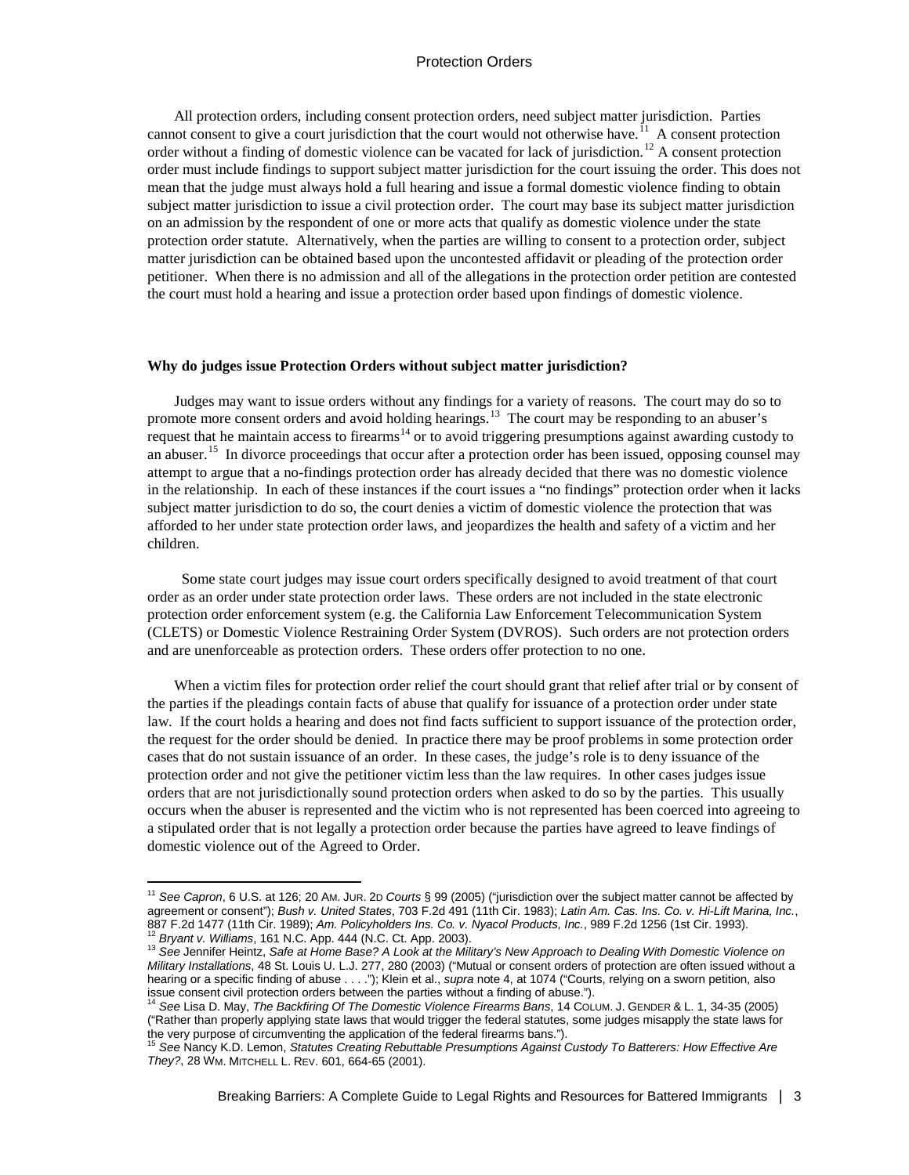All protection orders, including consent protection orders, need subject matter jurisdiction. Parties cannot consent to give a court jurisdiction that the court would not otherwise have.<sup>[11](#page-2-0)</sup> A consent protection order without a finding of domestic violence can be vacated for lack of jurisdiction.<sup>[12](#page-2-1)</sup> A consent protection order must include findings to support subject matter jurisdiction for the court issuing the order. This does not mean that the judge must always hold a full hearing and issue a formal domestic violence finding to obtain subject matter jurisdiction to issue a civil protection order. The court may base its subject matter jurisdiction on an admission by the respondent of one or more acts that qualify as domestic violence under the state protection order statute. Alternatively, when the parties are willing to consent to a protection order, subject matter jurisdiction can be obtained based upon the uncontested affidavit or pleading of the protection order petitioner. When there is no admission and all of the allegations in the protection order petition are contested the court must hold a hearing and issue a protection order based upon findings of domestic violence.

#### **Why do judges issue Protection Orders without subject matter jurisdiction?**

Judges may want to issue orders without any findings for a variety of reasons. The court may do so to promote more consent orders and avoid holding hearings.<sup>13</sup> The court may be responding to an abuser's request that he maintain access to firearms<sup>[14](#page-2-3)</sup> or to avoid triggering presumptions against awarding custody to an abuser.<sup>15</sup> In divorce proceedings that occur after a protection order has been issued, opposing counsel may attempt to argue that a no-findings protection order has already decided that there was no domestic violence in the relationship. In each of these instances if the court issues a "no findings" protection order when it lacks subject matter jurisdiction to do so, the court denies a victim of domestic violence the protection that was afforded to her under state protection order laws, and jeopardizes the health and safety of a victim and her children.

 Some state court judges may issue court orders specifically designed to avoid treatment of that court order as an order under state protection order laws. These orders are not included in the state electronic protection order enforcement system (e.g. the California Law Enforcement Telecommunication System (CLETS) or Domestic Violence Restraining Order System (DVROS). Such orders are not protection orders and are unenforceable as protection orders. These orders offer protection to no one.

When a victim files for protection order relief the court should grant that relief after trial or by consent of the parties if the pleadings contain facts of abuse that qualify for issuance of a protection order under state law. If the court holds a hearing and does not find facts sufficient to support issuance of the protection order, the request for the order should be denied. In practice there may be proof problems in some protection order cases that do not sustain issuance of an order. In these cases, the judge's role is to deny issuance of the protection order and not give the petitioner victim less than the law requires. In other cases judges issue orders that are not jurisdictionally sound protection orders when asked to do so by the parties. This usually occurs when the abuser is represented and the victim who is not represented has been coerced into agreeing to a stipulated order that is not legally a protection order because the parties have agreed to leave findings of domestic violence out of the Agreed to Order.

<span id="page-2-0"></span><sup>11</sup> *See Capron*, 6 U.S. at 126; 20 AM. JUR. 2D *Courts* § 99 (2005) ("jurisdiction over the subject matter cannot be affected by agreement or consent"); *Bush v. United States*, 703 F.2d 491 (11th Cir. 1983); *Latin Am. Cas. Ins. Co. v. Hi-Lift Marina, Inc.*, <sup>12</sup> Bryant v. Williams, 161 N.C. App. 444 (N.C. Ct. App. 2003).<br><sup>13</sup> See Jennifer Heintz, Safe at Home Base? A Look at the Military's New Approach to Dealing With Domestic Violence on

<span id="page-2-2"></span><span id="page-2-1"></span>*Military Installations*, 48 St. Louis U. L.J. 277, 280 (2003) ("Mutual or consent orders of protection are often issued without a hearing or a specific finding of abuse . . . ."); Klein et al., *supra* note 4, at 1074 ("Courts, relying on a sworn petition, also issue consent civil protection orders between the parties without a finding of abuse."). <sup>14</sup> *See* Lisa D. May, *The Backfiring Of The Domestic Violence Firearms Bans*, 14 COLUM. J. GENDER & L. 1, 34-35 (2005)

<span id="page-2-3"></span><sup>(&</sup>quot;Rather than properly applying state laws that would trigger the federal statutes, some judges misapply the state laws for the very purpose of circumventing the application of the federal firearms bans.").

<span id="page-2-4"></span><sup>15</sup> *See* Nancy K.D. Lemon, *Statutes Creating Rebuttable Presumptions Against Custody To Batterers: How Effective Are They?*, 28 WM. MITCHELL L. REV. 601, 664-65 (2001).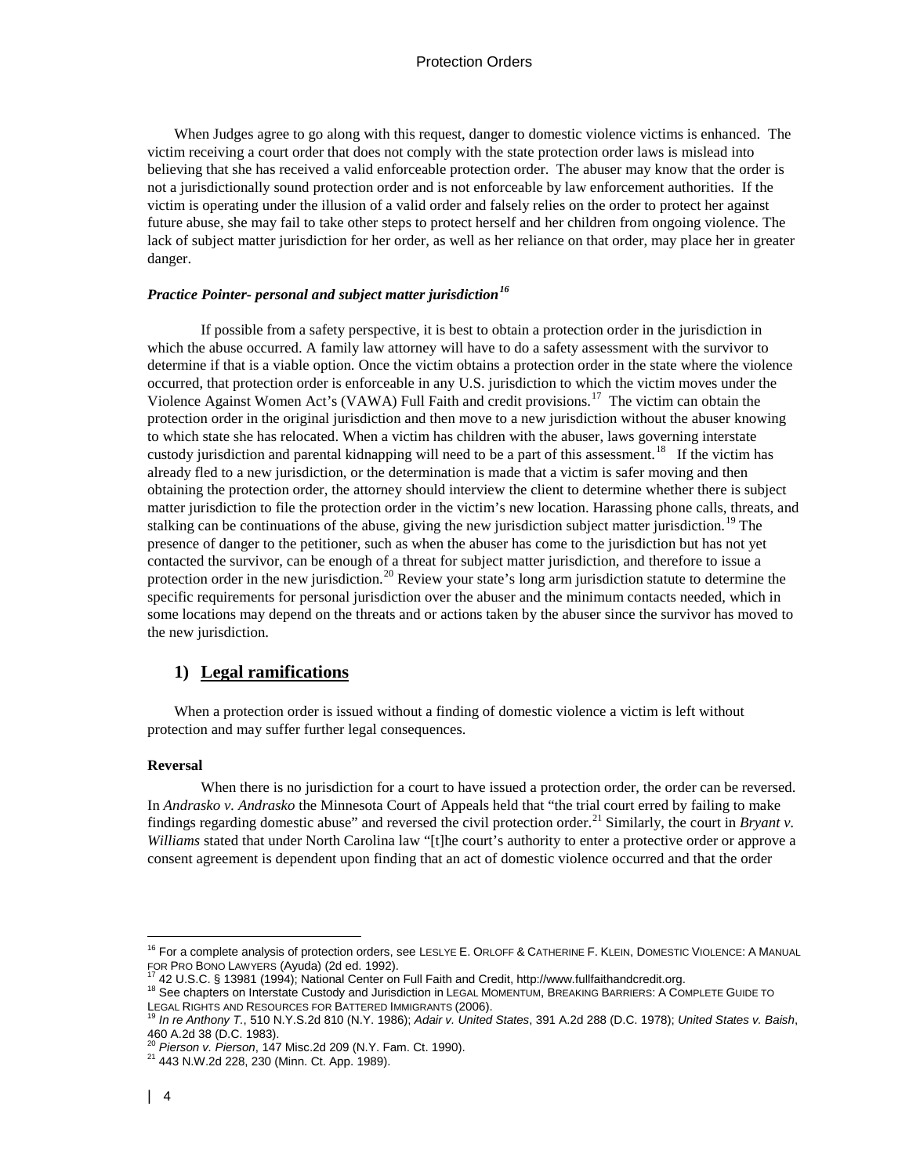When Judges agree to go along with this request, danger to domestic violence victims is enhanced. The victim receiving a court order that does not comply with the state protection order laws is mislead into believing that she has received a valid enforceable protection order. The abuser may know that the order is not a jurisdictionally sound protection order and is not enforceable by law enforcement authorities. If the victim is operating under the illusion of a valid order and falsely relies on the order to protect her against future abuse, she may fail to take other steps to protect herself and her children from ongoing violence. The lack of subject matter jurisdiction for her order, as well as her reliance on that order, may place her in greater danger.

## *Practice Pointer- personal and subject matter jurisdiction[16](#page-3-0)*

If possible from a safety perspective, it is best to obtain a protection order in the jurisdiction in which the abuse occurred. A family law attorney will have to do a safety assessment with the survivor to determine if that is a viable option. Once the victim obtains a protection order in the state where the violence occurred, that protection order is enforceable in any U.S. jurisdiction to which the victim moves under the Violence Against Women Act's (VAWA) Full Faith and credit provisions.<sup>[17](#page-3-1)</sup> The victim can obtain the protection order in the original jurisdiction and then move to a new jurisdiction without the abuser knowing to which state she has relocated. When a victim has children with the abuser, laws governing interstate custody jurisdiction and parental kidnapping will need to be a part of this assessment.<sup>18</sup> If the victim has already fled to a new jurisdiction, or the determination is made that a victim is safer moving and then obtaining the protection order, the attorney should interview the client to determine whether there is subject matter jurisdiction to file the protection order in the victim's new location. Harassing phone calls, threats, and stalking can be continuations of the abuse, giving the new jurisdiction subject matter jurisdiction.<sup>[19](#page-3-3)</sup> The presence of danger to the petitioner, such as when the abuser has come to the jurisdiction but has not yet contacted the survivor, can be enough of a threat for subject matter jurisdiction, and therefore to issue a protection order in the new jurisdiction.<sup>[20](#page-3-4)</sup> Review your state's long arm jurisdiction statute to determine the specific requirements for personal jurisdiction over the abuser and the minimum contacts needed, which in some locations may depend on the threats and or actions taken by the abuser since the survivor has moved to the new jurisdiction.

## **1) Legal ramifications**

When a protection order is issued without a finding of domestic violence a victim is left without protection and may suffer further legal consequences.

#### **Reversal**

When there is no jurisdiction for a court to have issued a protection order, the order can be reversed. In *Andrasko v. Andrasko* the Minnesota Court of Appeals held that "the trial court erred by failing to make findings regarding domestic abuse" and reversed the civil protection order.<sup>[21](#page-3-5)</sup> Similarly, the court in *Bryant v*. *Williams* stated that under North Carolina law "[t]he court's authority to enter a protective order or approve a consent agreement is dependent upon finding that an act of domestic violence occurred and that the order

<sup>&</sup>lt;sup>16</sup> For a complete analysis of protection orders, see LESLYE E. ORLOFF & CATHERINE F. KLEIN, DOMESTIC VIOLENCE: A MANUAL<br>FOR PRO BONO LAWYERS (Ayuda) (2d ed. 1992).<br><sup>17</sup> 42 U.S.C. & 12004 (1004): National Cartes of Fell

<span id="page-3-2"></span><span id="page-3-1"></span><span id="page-3-0"></span><sup>&</sup>lt;sup>17</sup> 42 U.S.C. § 13981 (1994); National Center on Full Faith and Credit, http://www.fullfaithandcredit.org.<br><sup>18</sup> See chapters on Interstate Custody and Jurisdiction in LEGAL MOMENTUM, BREAKING BARRIERS: A COMPLETE GUIDE TO

<span id="page-3-3"></span>In re Anthony T., 510 N.Y.S.2d 810 (N.Y. 1986); *Adair v. United States*, 391 A.2d 288 (D.C. 1978); *United States v. Baish*, 460 A.2d 38 (D.C. 1983).<br><sup>20</sup> Pierson v. Pierson, 147 Misc.2d 209 (N.Y. Fam. Ct. 1990).

<span id="page-3-4"></span>

<span id="page-3-5"></span><sup>&</sup>lt;sup>21</sup> 443 N.W.2d 228, 230 (Minn. Ct. App. 1989).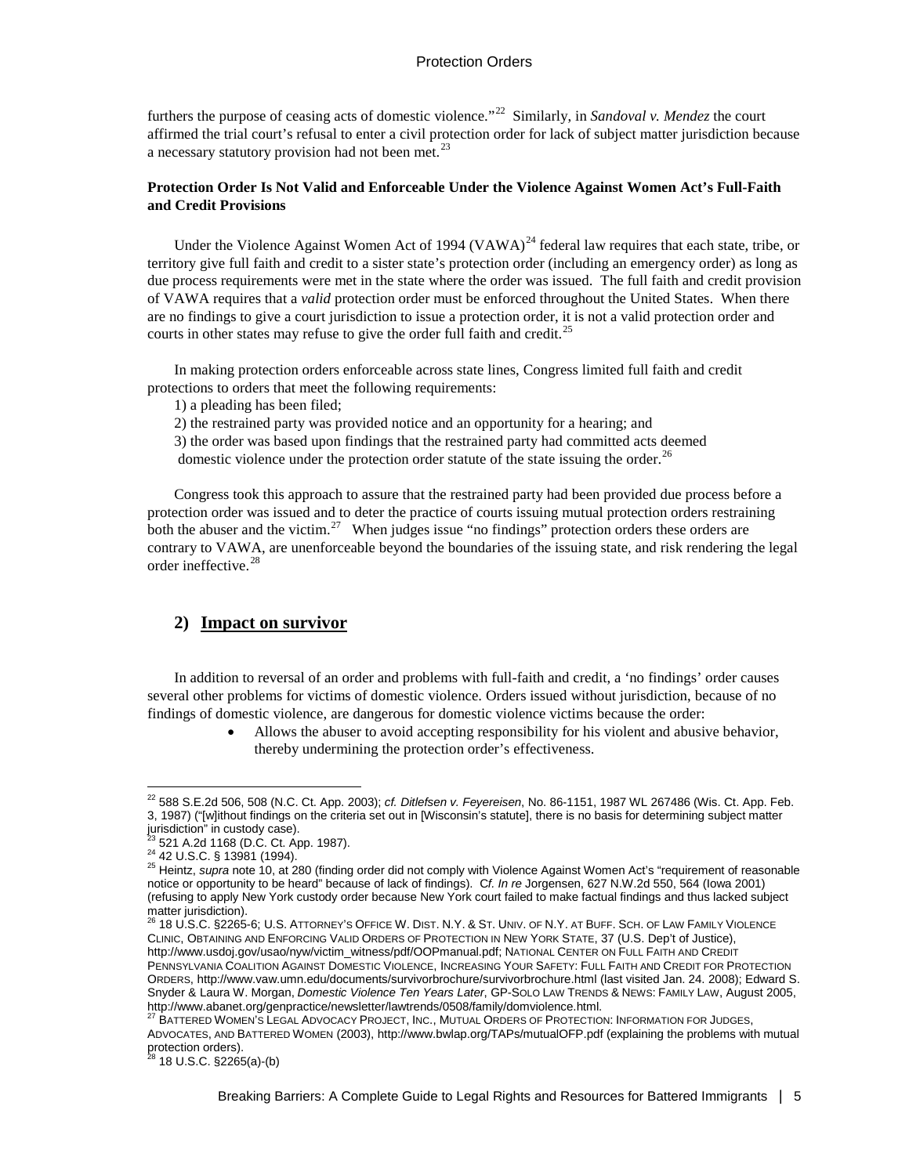furthers the purpose of ceasing acts of domestic violence."[22](#page-4-0) Similarly, in *Sandoval v. Mendez* the court affirmed the trial court's refusal to enter a civil protection order for lack of subject matter jurisdiction because a necessary statutory provision had not been met. $^{23}$  $^{23}$  $^{23}$ 

## **Protection Order Is Not Valid and Enforceable Under the Violence Against Women Act's Full-Faith and Credit Provisions**

Under the Violence Against Women Act of 1994 (VAWA)<sup>[24](#page-4-2)</sup> federal law requires that each state, tribe, or territory give full faith and credit to a sister state's protection order (including an emergency order) as long as due process requirements were met in the state where the order was issued. The full faith and credit provision of VAWA requires that a *valid* protection order must be enforced throughout the United States. When there are no findings to give a court jurisdiction to issue a protection order, it is not a valid protection order and courts in other states may refuse to give the order full faith and credit.<sup>25</sup>

In making protection orders enforceable across state lines, Congress limited full faith and credit protections to orders that meet the following requirements:

1) a pleading has been filed;

2) the restrained party was provided notice and an opportunity for a hearing; and

3) the order was based upon findings that the restrained party had committed acts deemed domestic violence under the protection order statute of the state issuing the order.<sup>26</sup>

Congress took this approach to assure that the restrained party had been provided due process before a protection order was issued and to deter the practice of courts issuing mutual protection orders restraining both the abuser and the victim.<sup>27</sup> When judges issue "no findings" protection orders these orders are contrary to VAWA, are unenforceable beyond the boundaries of the issuing state, and risk rendering the legal order ineffective.[28](#page-4-6)

## **2) Impact on survivor**

In addition to reversal of an order and problems with full-faith and credit, a 'no findings' order causes several other problems for victims of domestic violence. Orders issued without jurisdiction, because of no findings of domestic violence, are dangerous for domestic violence victims because the order:

> • Allows the abuser to avoid accepting responsibility for his violent and abusive behavior, thereby undermining the protection order's effectiveness.

<span id="page-4-0"></span><sup>22</sup> 588 S.E.2d 506, 508 (N.C. Ct. App. 2003); *cf. Ditlefsen v. Feyereisen*, No. 86-1151, 1987 WL 267486 (Wis. Ct. App. Feb. 3, 1987) ("[w]ithout findings on the criteria set out in [Wisconsin's statute], there is no basis for determining subject matter jurisdiction" in custody case).<br><sup>23</sup> 521 A.2d 1168 (D.C. Ct. App. 1987).

<span id="page-4-3"></span><span id="page-4-2"></span><span id="page-4-1"></span><sup>24 42</sup> U.S.C. § 13981 (1994).<br><sup>24</sup> 42 U.S.C. § 13981 (1994).<br><sup>25</sup> Heintz, *supra* note 10, at 280 (finding order did not comply with Violence Against Women Act's "requirement of reasonable notice or opportunity to be heard" because of lack of findings). C*f. In re* Jorgensen, 627 N.W.2d 550, 564 (Iowa 2001) (refusing to apply New York custody order because New York court failed to make factual findings and thus lacked subject matter jurisdiction).<br><sup>26</sup> 18 U.S.C. §2265-6; U.S. ATTORNEY's OFFICE W. DIST. N.Y. & ST. UNIV. OF N.Y. AT BUFF. SCH. OF LAW FAMILY VIOLENCE

<span id="page-4-4"></span>CLINIC, OBTAINING AND ENFORCING VALID ORDERS OF PROTECTION IN NEW YORK STATE, 37 (U.S. Dep't of Justice), http://www.usdoj.gov/usao/nyw/victim\_witness/pdf/OOPmanual.pdf; NATIONAL CENTER ON FULL FAITH AND CREDIT PENNSYLVANIA COALITION AGAINST DOMESTIC VIOLENCE, INCREASING YOUR SAFETY: FULL FAITH AND CREDIT FOR PROTECTION ORDERS, http://www.vaw.umn.edu/documents/survivorbrochure/survivorbrochure.html (last visited Jan. 24. 2008); Edward S. Snyder & Laura W. Morgan, *Domestic Violence Ten Years Later*, GP-SOLO LAW TRENDS & NEWS: FAMILY LAW, August 2005, http://www.abanet.org/genpractice/newsletter/lawtrends/0508/family/domviolence.html.

<span id="page-4-5"></span>BATTERED WOMEN'S LEGAL ADVOCACY PROJECT, INC., MUTUAL ORDERS OF PROTECTION: INFORMATION FOR JUDGES, ADVOCATES, AND BATTERED WOMEN (2003), http://www.bwlap.org/TAPs/mutualOFP.pdf (explaining the problems with mutual protection orders).

<span id="page-4-6"></span><sup>28</sup> 18 U.S.C. §2265(a)-(b)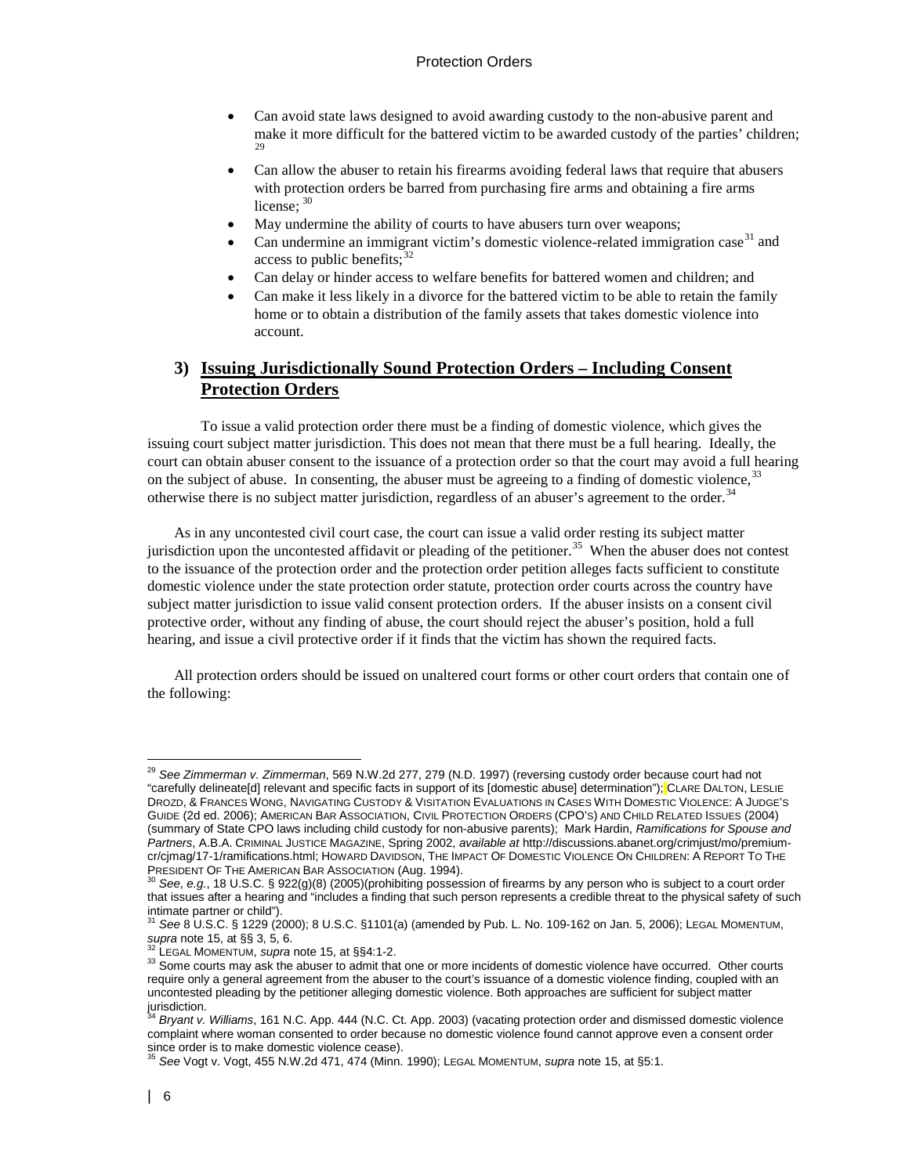- Can avoid state laws designed to avoid awarding custody to the non-abusive parent and make it more difficult for the battered victim to be awarded custody of the parties' children; [29](#page-5-0)
- Can allow the abuser to retain his firearms avoiding federal laws that require that abusers with protection orders be barred from purchasing fire arms and obtaining a fire arms license: [30](#page-5-1)
- May undermine the ability of courts to have abusers turn over weapons;
- Can undermine an immigrant victim's domestic violence-related immigration case  $31$  and access to public benefits;  $32$
- Can delay or hinder access to welfare benefits for battered women and children; and
- Can make it less likely in a divorce for the battered victim to be able to retain the family home or to obtain a distribution of the family assets that takes domestic violence into account.

## **3) Issuing Jurisdictionally Sound Protection Orders – Including Consent Protection Orders**

To issue a valid protection order there must be a finding of domestic violence, which gives the issuing court subject matter jurisdiction. This does not mean that there must be a full hearing. Ideally, the court can obtain abuser consent to the issuance of a protection order so that the court may avoid a full hearing on the subject of abuse. In consenting, the abuser must be agreeing to a finding of domestic violence,<sup>[33](#page-5-4)</sup> otherwise there is no subject matter jurisdiction, regardless of an abuser's agreement to the order.<sup>[34](#page-5-5)</sup>

As in any uncontested civil court case, the court can issue a valid order resting its subject matter jurisdiction upon the uncontested affidavit or pleading of the petitioner.<sup>[35](#page-5-6)</sup> When the abuser does not contest to the issuance of the protection order and the protection order petition alleges facts sufficient to constitute domestic violence under the state protection order statute, protection order courts across the country have subject matter jurisdiction to issue valid consent protection orders. If the abuser insists on a consent civil protective order, without any finding of abuse, the court should reject the abuser's position, hold a full hearing, and issue a civil protective order if it finds that the victim has shown the required facts.

All protection orders should be issued on unaltered court forms or other court orders that contain one of the following:

<span id="page-5-0"></span><sup>29</sup> *See Zimmerman v. Zimmerman*, 569 N.W.2d 277, 279 (N.D. 1997) (reversing custody order because court had not "carefully delineate[d] relevant and specific facts in support of its [domestic abuse] determination"); CLARE DALTON, LESLIE DROZD, & FRANCES WONG, NAVIGATING CUSTODY & VISITATION EVALUATIONS IN CASES WITH DOMESTIC VIOLENCE: A JUDGE'S GUIDE (2d ed. 2006); AMERICAN BAR ASSOCIATION, CIVIL PROTECTION ORDERS (CPO'S) AND CHILD RELATED ISSUES (2004) (summary of State CPO laws including child custody for non-abusive parents); Mark Hardin, *Ramifications for Spouse and Partners*, A.B.A. CRIMINAL JUSTICE MAGAZINE, Spring 2002, *available at* http://discussions.abanet.org/crimjust/mo/premiumcr/cjmag/17-1/ramifications.html; HOWARD DAVIDSON, THE IMPACT OF DOMESTIC VIOLENCE ON CHILDREN: A REPORT TO THE<br>PRESIDENT OF THE AMERICAN BAR ASSOCIATION (Aug. 1994).

<span id="page-5-1"></span>PRESIDENT OF THE AMERICAN BAR ASSOCIATION (2005)(prohibiting possession of firearms by any person who is subject to a court order that issues after a hearing and "includes a finding that such person represents a credible threat to the physical safety of such intimate partner or child").

<span id="page-5-2"></span><sup>31</sup> *See* 8 U.S.C. § 1229 (2000); 8 U.S.C. §1101(a) (amended by Pub. L. No. 109-162 on Jan. 5, 2006); LEGAL MOMENTUM,

<span id="page-5-4"></span><span id="page-5-3"></span><sup>&</sup>lt;sup>32</sup> LEGAL MOMENTUM, *supra* note 15, at §§4:1-2.<br><sup>33</sup> Some courts may ask the abuser to admit that one or more incidents of domestic violence have occurred. Other courts require only a general agreement from the abuser to the court's issuance of a domestic violence finding, coupled with an uncontested pleading by the petitioner alleging domestic violence. Both approaches are sufficient for subject matter jurisdiction.

<span id="page-5-5"></span>Bryant v. Williams, 161 N.C. App. 444 (N.C. Ct. App. 2003) (vacating protection order and dismissed domestic violence complaint where woman consented to order because no domestic violence found cannot approve even a consent order since order is to make domestic violence cease).

<span id="page-5-6"></span><sup>35</sup> *See* Vogt v. Vogt, 455 N.W.2d 471, 474 (Minn. 1990); LEGAL MOMENTUM, *supra* note 15, at §5:1.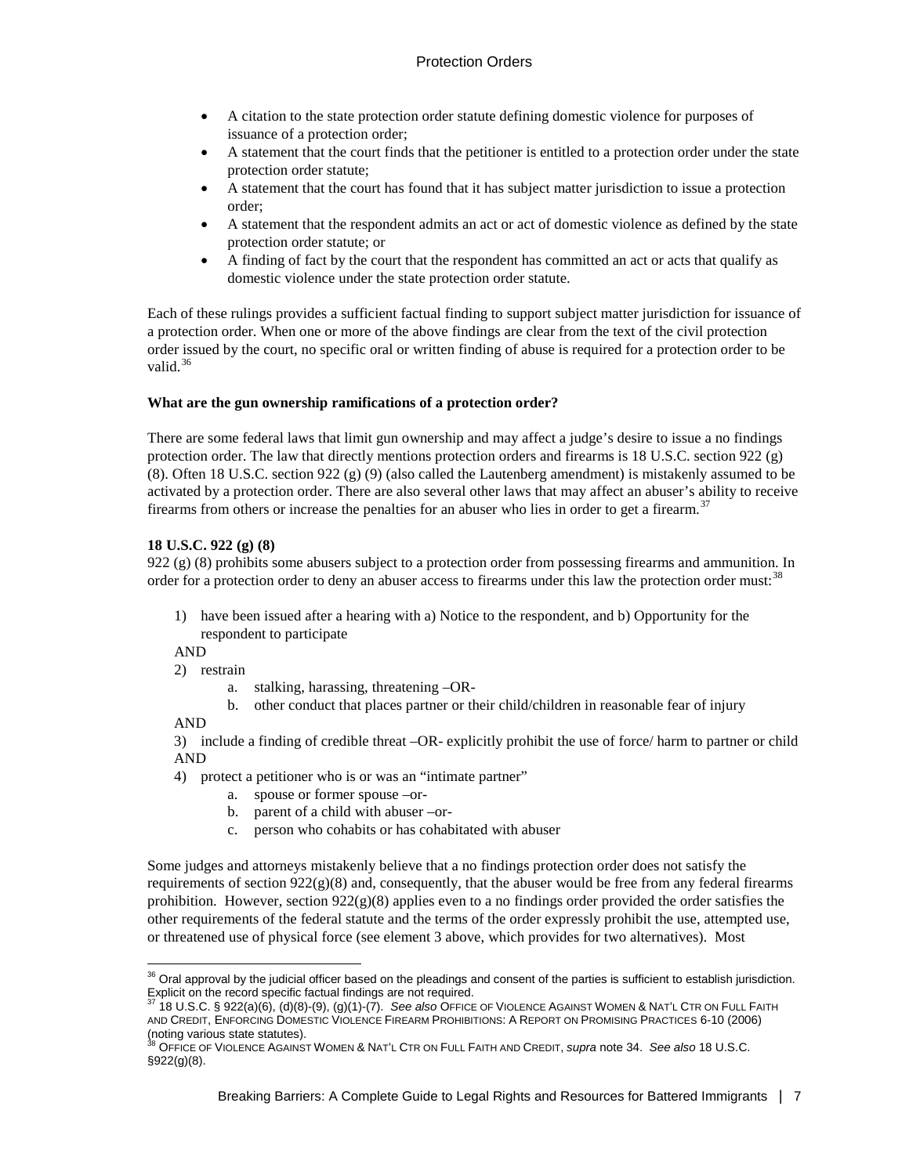- A citation to the state protection order statute defining domestic violence for purposes of issuance of a protection order;
- A statement that the court finds that the petitioner is entitled to a protection order under the state protection order statute;
- A statement that the court has found that it has subject matter jurisdiction to issue a protection order;
- A statement that the respondent admits an act or act of domestic violence as defined by the state protection order statute; or
- A finding of fact by the court that the respondent has committed an act or acts that qualify as domestic violence under the state protection order statute.

Each of these rulings provides a sufficient factual finding to support subject matter jurisdiction for issuance of a protection order. When one or more of the above findings are clear from the text of the civil protection order issued by the court, no specific oral or written finding of abuse is required for a protection order to be valid $36$ 

## **What are the gun ownership ramifications of a protection order?**

There are some federal laws that limit gun ownership and may affect a judge's desire to issue a no findings protection order. The law that directly mentions protection orders and firearms is 18 U.S.C. section 922 (g) (8). Often 18 U.S.C. section 922 (g) (9) (also called the Lautenberg amendment) is mistakenly assumed to be activated by a protection order. There are also several other laws that may affect an abuser's ability to receive firearms from others or increase the penalties for an abuser who lies in order to get a firearm.<sup>[37](#page-6-1)</sup>

## **18 U.S.C. 922 (g) (8)**

922 (g) (8) prohibits some abusers subject to a protection order from possessing firearms and ammunition. In order for a protection order to deny an abuser access to firearms under this law the protection order must:<sup>[38](#page-6-2)</sup>

1) have been issued after a hearing with a) Notice to the respondent, and b) Opportunity for the respondent to participate

AND

- 2) restrain
	- a. stalking, harassing, threatening –OR-
	- b. other conduct that places partner or their child/children in reasonable fear of injury

AND

3) include a finding of credible threat –OR- explicitly prohibit the use of force/ harm to partner or child AND

- 4) protect a petitioner who is or was an "intimate partner"
	- a. spouse or former spouse –or-
	- b. parent of a child with abuser –or-
	- c. person who cohabits or has cohabitated with abuser

Some judges and attorneys mistakenly believe that a no findings protection order does not satisfy the requirements of section  $922(g)(8)$  and, consequently, that the abuser would be free from any federal firearms prohibition. However, section  $922(g)(8)$  applies even to a no findings order provided the order satisfies the other requirements of the federal statute and the terms of the order expressly prohibit the use, attempted use, or threatened use of physical force (see element 3 above, which provides for two alternatives). Most

<span id="page-6-0"></span><sup>&</sup>lt;sup>36</sup> Oral approval by the judicial officer based on the pleadings and consent of the parties is sufficient to establish jurisdiction. Explicit on the record specific factual findings are not required. <sup>37</sup> 18 U.S.C. § 922(a)(6), (d)(8)-(9), (g)(1)-(7). *See also* OFFICE OF VIOLENCE AGAINST WOMEN & NAT'L CTR ON FULL FAITH

<span id="page-6-1"></span>AND CREDIT, ENFORCING DOMESTIC VIOLENCE FIREARM PROHIBITIONS: A REPORT ON PROMISING PRACTICES 6-10 (2006) (noting various state statutes).

<span id="page-6-2"></span><sup>38</sup> OFFICE OF VIOLENCE AGAINST WOMEN & NAT'L CTR ON FULL FAITH AND CREDIT, *supra* note 34. *See also* 18 U.S.C. §922(g)(8).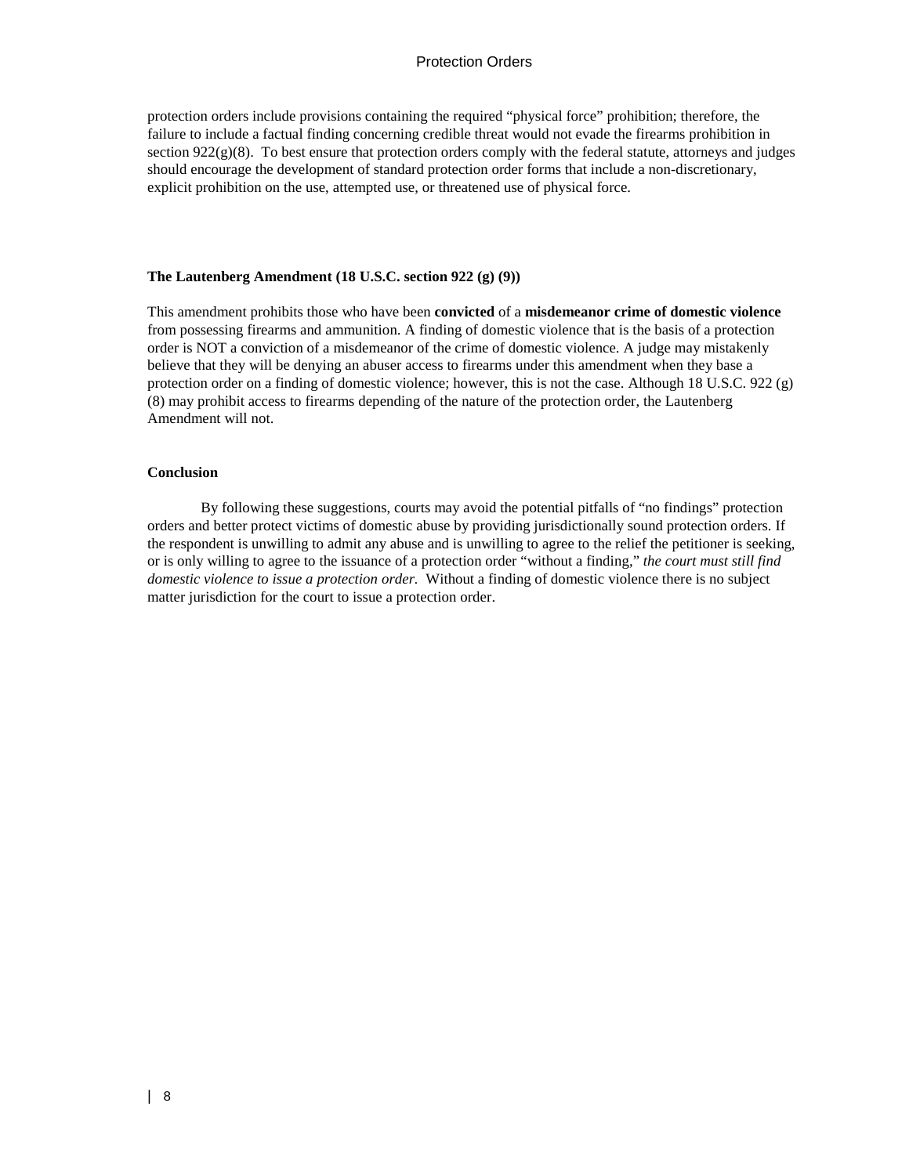protection orders include provisions containing the required "physical force" prohibition; therefore, the failure to include a factual finding concerning credible threat would not evade the firearms prohibition in section 922(g)(8). To best ensure that protection orders comply with the federal statute, attorneys and judges should encourage the development of standard protection order forms that include a non-discretionary, explicit prohibition on the use, attempted use, or threatened use of physical force.

#### **The Lautenberg Amendment (18 U.S.C. section 922 (g) (9))**

This amendment prohibits those who have been **convicted** of a **misdemeanor crime of domestic violence** from possessing firearms and ammunition. A finding of domestic violence that is the basis of a protection order is NOT a conviction of a misdemeanor of the crime of domestic violence. A judge may mistakenly believe that they will be denying an abuser access to firearms under this amendment when they base a protection order on a finding of domestic violence; however, this is not the case. Although 18 U.S.C. 922 (g) (8) may prohibit access to firearms depending of the nature of the protection order, the Lautenberg Amendment will not.

#### **Conclusion**

By following these suggestions, courts may avoid the potential pitfalls of "no findings" protection orders and better protect victims of domestic abuse by providing jurisdictionally sound protection orders. If the respondent is unwilling to admit any abuse and is unwilling to agree to the relief the petitioner is seeking, or is only willing to agree to the issuance of a protection order "without a finding," *the court must still find domestic violence to issue a protection order.* Without a finding of domestic violence there is no subject matter jurisdiction for the court to issue a protection order.